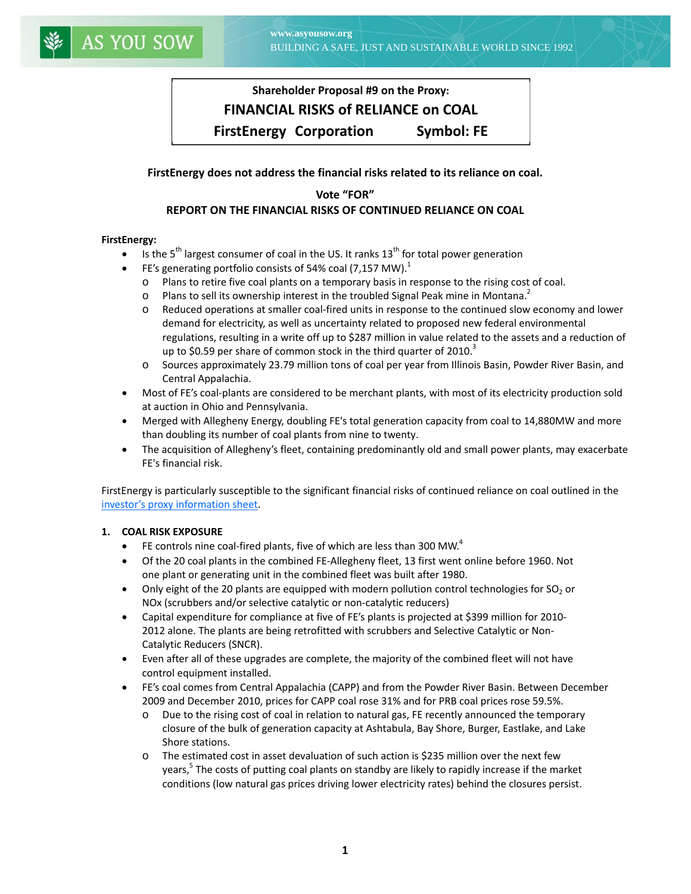# **Shareholder Proposal #9 on the Proxy: FINANCIAL RISKS of RELIANCE on COAL FirstEnergy Corporation Symbol: FE**

# **FirstEnergy does not address the financial risks related to its reliance on coal.**

# **Vote "FOR" REPORT ON THE FINANCIAL RISKS OF CONTINUED RELIANCE ON COAL**

## **FirstEnergy:**

- Is the  $5<sup>th</sup>$  largest consumer of coal in the US. It ranks  $13<sup>th</sup>$  for total power generation
- FE's generating portfolio consists of 54% coal (7,157 MW).<sup>1</sup>
	- o Plans to retire five coal plants on a temporary basis in response to the rising cost of coal.
	- $\circ$  Plans to sell its ownership interest in the troubled Signal Peak mine in Montana.<sup>2</sup>
	- o Reduced operations at smaller coal‐fired units in response to the continued slow economy and lower demand for electricity, as well as uncertainty related to proposed new federal environmental regulations, resulting in a write off up to \$287 million in value related to the assets and a reduction of up to \$0.59 per share of common stock in the third quarter of 2010. $3$
	- o Sources approximately 23.79 million tons of coal per year from Illinois Basin, Powder River Basin, and Central Appalachia.
- Most of FE's coal-plants are considered to be merchant plants, with most of its electricity production sold at auction in Ohio and Pennsylvania.
- Merged with Allegheny Energy, doubling FE's total generation capacity from coal to 14,880MW and more than doubling its number of coal plants from nine to twenty.
- The acquisition of Allegheny's fleet, containing predominantly old and small power plants, may exacerbate FE's financial risk.

FirstEnergy is particularly susceptible to the significant financial risks of continued reliance on coal outlined in the investor's proxy [information](http://asyousow.org/publications/2011/2011%20Filings/Financial_Risks_of_Coal_Info_Sheet.pdf) sheet.

## **1. COAL RISK EXPOSURE**

- FE controls nine coal-fired plants, five of which are less than 300 MW. $4$
- Of the 20 coal plants in the combined FE-Allegheny fleet, 13 first went online before 1960. Not one plant or generating unit in the combined fleet was built after 1980.
- Only eight of the 20 plants are equipped with modern pollution control technologies for  $SO_2$  or NOx (scrubbers and/or selective catalytic or non‐catalytic reducers)
- Capital expenditure for compliance at five of FE's plants is projected at \$399 million for 2010‐ 2012 alone. The plants are being retrofitted with scrubbers and Selective Catalytic or Non‐ Catalytic Reducers (SNCR).
- Even after all of these upgrades are complete, the majority of the combined fleet will not have control equipment installed.
- FE's coal comes from Central Appalachia (CAPP) and from the Powder River Basin. Between December 2009 and December 2010, prices for CAPP coal rose 31% and for PRB coal prices rose 59.5%.
	- o Due to the rising cost of coal in relation to natural gas, FE recently announced the temporary closure of the bulk of generation capacity at Ashtabula, Bay Shore, Burger, Eastlake, and Lake Shore stations.
	- o The estimated cost in asset devaluation of such action is \$235 million over the next few years,<sup>5</sup> The costs of putting coal plants on standby are likely to rapidly increase if the market conditions (low natural gas prices driving lower electricity rates) behind the closures persist.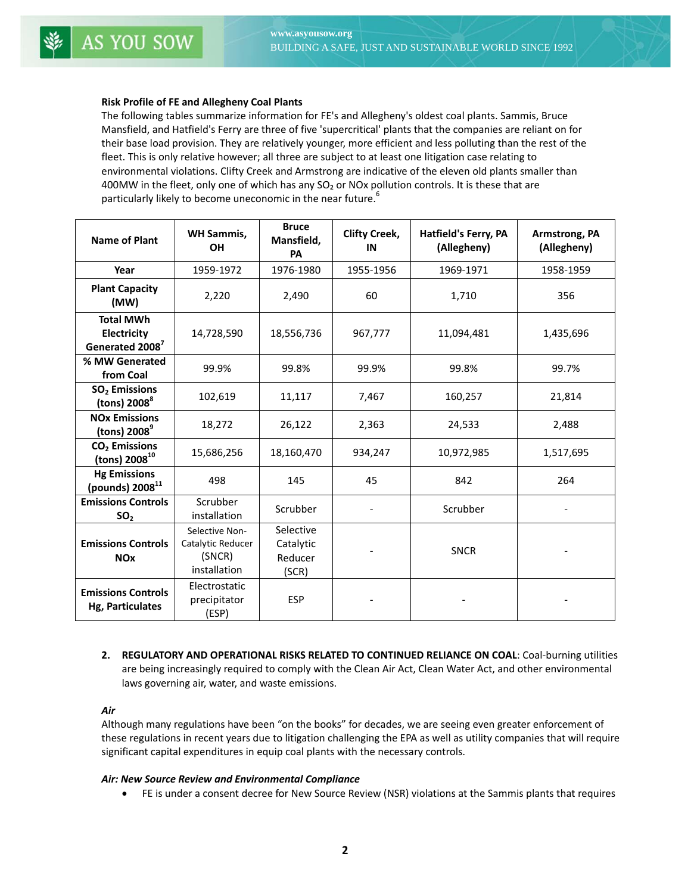#### **Risk Profile of FE and Allegheny Coal Plants**

The following tables summarize information for FE's and Allegheny's oldest coal plants. Sammis, Bruce Mansfield, and Hatfield's Ferry are three of five 'supercritical' plants that the companies are reliant on for their base load provision. They are relatively younger, more efficient and less polluting than the rest of the fleet. This is only relative however; all three are subject to at least one litigation case relating to environmental violations. Clifty Creek and Armstrong are indicative of the eleven old plants smaller than 400MW in the fleet, only one of which has any SO<sub>2</sub> or NOx pollution controls. It is these that are particularly likely to become uneconomic in the near future.<sup>6</sup>

| <b>Name of Plant</b>                                           | <b>WH Sammis,</b><br><b>OH</b>                                | <b>Bruce</b><br>Mansfield,<br>PA           | <b>Clifty Creek,</b><br>IN | Hatfield's Ferry, PA<br>(Allegheny) | Armstrong, PA<br>(Allegheny) |
|----------------------------------------------------------------|---------------------------------------------------------------|--------------------------------------------|----------------------------|-------------------------------------|------------------------------|
| Year                                                           | 1959-1972                                                     | 1976-1980                                  | 1955-1956                  | 1969-1971                           | 1958-1959                    |
| <b>Plant Capacity</b><br>(MW)                                  | 2,220                                                         | 2,490                                      | 60                         | 1,710                               | 356                          |
| <b>Total MWh</b><br>Electricity<br>Generated 2008 <sup>7</sup> | 14,728,590                                                    | 18,556,736                                 | 967,777                    | 11,094,481                          | 1,435,696                    |
| % MW Generated<br>from Coal                                    | 99.9%                                                         | 99.8%                                      | 99.9%                      | 99.8%                               | 99.7%                        |
| SO <sub>2</sub> Emissions<br>(tons) $2008^8$                   | 102,619                                                       | 11,117                                     | 7,467                      | 160,257                             | 21,814                       |
| <b>NO<sub>x</sub></b> Emissions<br>(tons) $20089$              | 18,272                                                        | 26,122                                     | 2,363                      | 24,533                              | 2,488                        |
| CO <sub>2</sub> Emissions<br>(tons) $2008^{10}$                | 15,686,256                                                    | 18,160,470                                 | 934,247                    | 10,972,985                          | 1,517,695                    |
| <b>Hg Emissions</b><br>(pounds) 2008 <sup>11</sup>             | 498                                                           | 145                                        | 45                         | 842                                 | 264                          |
| <b>Emissions Controls</b><br>SO <sub>2</sub>                   | Scrubber<br>installation                                      | Scrubber                                   |                            | Scrubber                            |                              |
| <b>Emissions Controls</b><br><b>NO<sub>x</sub></b>             | Selective Non-<br>Catalytic Reducer<br>(SNCR)<br>installation | Selective<br>Catalytic<br>Reducer<br>(SCR) |                            | <b>SNCR</b>                         |                              |
| <b>Emissions Controls</b><br>Hg, Particulates                  | Electrostatic<br>precipitator<br>(ESP)                        | <b>ESP</b>                                 |                            |                                     |                              |

**2. REGULATORY AND OPERATIONAL RISKS RELATED TO CONTINUED RELIANCE ON COAL**: Coal‐burning utilities are being increasingly required to comply with the Clean Air Act, Clean Water Act, and other environmental laws governing air, water, and waste emissions.

#### *Air*

Although many regulations have been "on the books" for decades, we are seeing even greater enforcement of these regulations in recent years due to litigation challenging the EPA as well as utility companies that will require significant capital expenditures in equip coal plants with the necessary controls.

#### *Air: New Source Review and Environmental Compliance*

FE is under a consent decree for New Source Review (NSR) violations at the Sammis plants that requires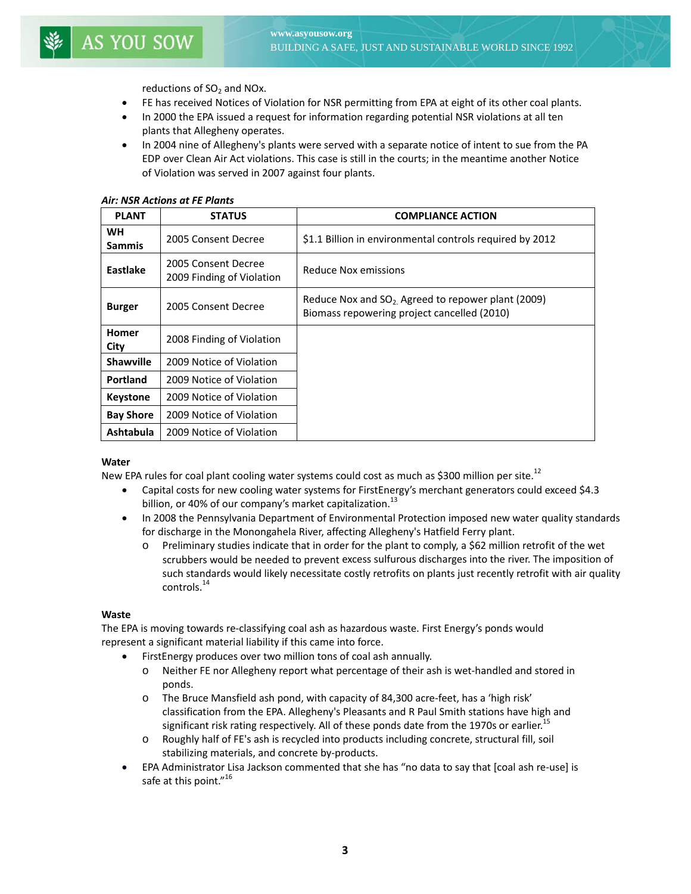reductions of  $SO<sub>2</sub>$  and NOx.

- FE has received Notices of Violation for NSR permitting from EPA at eight of its other coal plants.
- In 2000 the EPA issued a request for information regarding potential NSR violations at all ten plants that Allegheny operates.
- In 2004 nine of Allegheny's plants were served with a separate notice of intent to sue from the PA EDP over Clean Air Act violations. This case is still in the courts; in the meantime another Notice of Violation was served in 2007 against four plants.

| <b>PLANT</b>               | <b>STATUS</b>                                    | <b>COMPLIANCE ACTION</b>                                                                            |
|----------------------------|--------------------------------------------------|-----------------------------------------------------------------------------------------------------|
| <b>WH</b><br><b>Sammis</b> | 2005 Consent Decree                              | \$1.1 Billion in environmental controls required by 2012                                            |
| Eastlake                   | 2005 Consent Decree<br>2009 Finding of Violation | Reduce Nox emissions                                                                                |
| <b>Burger</b>              | 2005 Consent Decree                              | Reduce Nox and $SO_2$ Agreed to repower plant (2009)<br>Biomass repowering project cancelled (2010) |
| <b>Homer</b><br>City       | 2008 Finding of Violation                        |                                                                                                     |
| <b>Shawville</b>           | 2009 Notice of Violation                         |                                                                                                     |
| Portland                   | 2009 Notice of Violation                         |                                                                                                     |
| <b>Keystone</b>            | 2009 Notice of Violation                         |                                                                                                     |
| <b>Bay Shore</b>           | 2009 Notice of Violation                         |                                                                                                     |
| Ashtabula                  | 2009 Notice of Violation                         |                                                                                                     |

#### *Air: NSR Actions at FE Plants*

#### **Water**

New EPA rules for coal plant cooling water systems could cost as much as \$300 million per site.<sup>12</sup>

- Capital costs for new cooling water systems for FirstEnergy's merchant generators could exceed \$4.3 billion, or 40% of our company's market capitalization.<sup>13</sup>
- In 2008 the Pennsylvania Department of Environmental Protection imposed new water quality standards for discharge in the Monongahela River, affecting Allegheny's Hatfield Ferry plant.
	- o Preliminary studies indicate that in order for the plant to comply, a \$62 million retrofit of the wet scrubbers would be needed to prevent excess sulfurous discharges into the river. The imposition of such standards would likely necessitate costly retrofits on plants just recently retrofit with air quality controls.<sup>14</sup>

## **Waste**

The EPA is moving towards re‐classifying coal ash as hazardous waste. First Energy's ponds would represent a significant material liability if this came into force.

- FirstEnergy produces over two million tons of coal ash annually.
	- o Neither FE nor Allegheny report what percentage of their ash is wet‐handled and stored in ponds.
	- o The Bruce Mansfield ash pond, with capacity of 84,300 acre‐feet, has a 'high risk' classification from the EPA. Allegheny's Pleasants and R Paul Smith stations have high and significant risk rating respectively. All of these ponds date from the 1970s or earlier.<sup>15</sup>
	- o Roughly half of FE's ash is recycled into products including concrete, structural fill, soil stabilizing materials, and concrete by‐products.
- EPA Administrator Lisa Jackson commented that she has "no data to say that [coal ash re-use] is safe at this point."<sup>16</sup>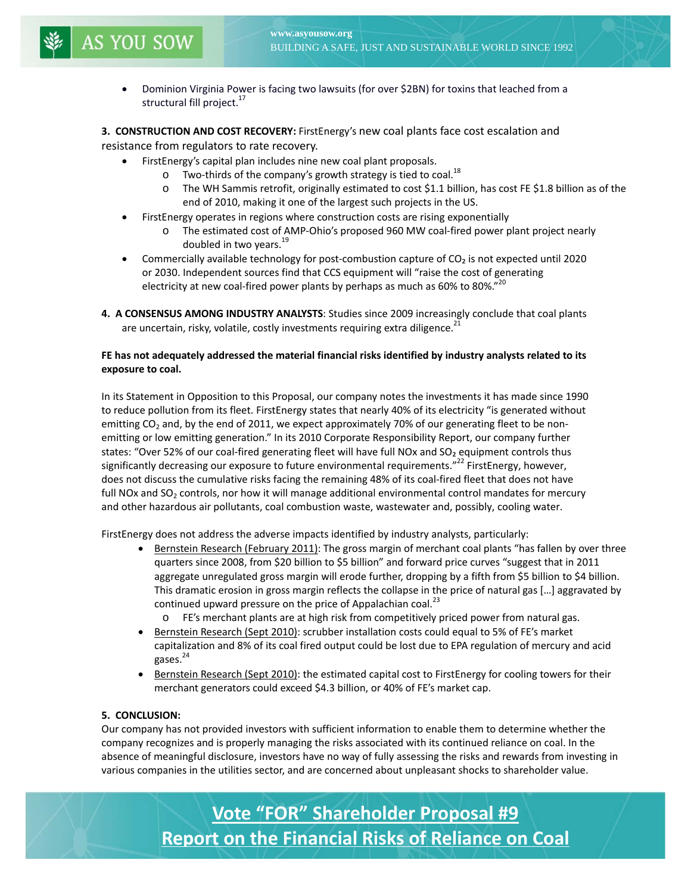Dominion Virginia Power is facing two lawsuits (for over \$2BN) for toxins that leached from a structural fill project.<sup>17</sup>

**3. CONSTRUCTION AND COST RECOVERY:** FirstEnergy's new coal plants face cost escalation and

resistance from regulators to rate recovery.

ׇ֚֬֕

- FirstEnergy's capital plan includes nine new coal plant proposals.
	- $\circ$  Two-thirds of the company's growth strategy is tied to coal.<sup>18</sup>
		- o The WH Sammis retrofit, originally estimated to cost \$1.1 billion, has cost FE \$1.8 billion as of the end of 2010, making it one of the largest such projects in the US.
- FirstEnergy operates in regions where construction costs are rising exponentially
	- o The estimated cost of AMP‐Ohio's proposed 960 MW coal‐fired power plant project nearly doubled in two years.<sup>19</sup>
- Commercially available technology for post-combustion capture of  $CO<sub>2</sub>$  is not expected until 2020 or 2030. Independent sources find that CCS equipment will "raise the cost of generating electricity at new coal-fired power plants by perhaps as much as 60% to 80%." $^{20}$
- **4. A CONSENSUS AMONG INDUSTRY ANALYSTS**: Studies since 2009 increasingly conclude that coal plants are uncertain, risky, volatile, costly investments requiring extra diligence.<sup>21</sup>

## **FE has not adequately addressed the material financial risks identified by industry analysts related to its exposure to coal.**

In its Statement in Opposition to this Proposal, our company notes the investments it has made since 1990 to reduce pollution from its fleet. FirstEnergy states that nearly 40% of its electricity "is generated without emitting  $CO<sub>2</sub>$  and, by the end of 2011, we expect approximately 70% of our generating fleet to be nonemitting or low emitting generation." In its 2010 Corporate Responsibility Report, our company further states: "Over 52% of our coal-fired generating fleet will have full NOx and SO<sub>2</sub> equipment controls thus significantly decreasing our exposure to future environmental requirements."<sup>22</sup> FirstEnergy, however, does not discuss the cumulative risks facing the remaining 48% of its coal-fired fleet that does not have full NOx and SO<sub>2</sub> controls, nor how it will manage additional environmental control mandates for mercury and other hazardous air pollutants, coal combustion waste, wastewater and, possibly, cooling water.

FirstEnergy does not address the adverse impacts identified by industry analysts, particularly:

- Bernstein Research (February 2011): The gross margin of merchant coal plants "has fallen by over three quarters since 2008, from \$20 billion to \$5 billion" and forward price curves "suggest that in 2011 aggregate unregulated gross margin will erode further, dropping by a fifth from \$5 billion to \$4 billion. This dramatic erosion in gross margin reflects the collapse in the price of natural gas […] aggravated by continued upward pressure on the price of Appalachian coal. $^{23}$ 
	- FE's merchant plants are at high risk from competitively priced power from natural gas.
- Bernstein Research (Sept 2010): scrubber installation costs could equal to 5% of FE's market capitalization and 8% of its coal fired output could be lost due to EPA regulation of mercury and acid gases. $^{24}$
- Bernstein Research (Sept 2010): the estimated capital cost to FirstEnergy for cooling towers for their merchant generators could exceed \$4.3 billion, or 40% of FE's market cap.

# **5. CONCLUSION:**

Our company has not provided investors with sufficient information to enable them to determine whether the company recognizes and is properly managing the risks associated with its continued reliance on coal. In the absence of meaningful disclosure, investors have no way of fully assessing the risks and rewards from investing in various companies in the utilities sector, and are concerned about unpleasant shocks to shareholder value.

> **Vote "FOR" Shareholder Proposal #9 Report on the Financial Risks of Reliance on Coal**